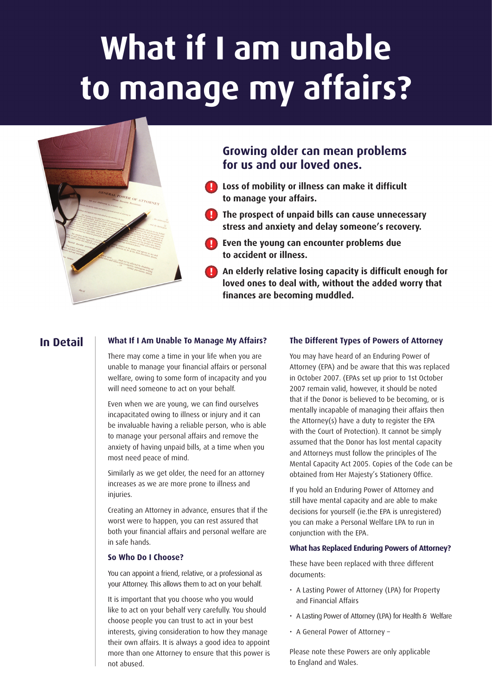# **What if I am unable to manage my affairs?**



# **Growing older can mean problems for us and our loved ones.**

- **Loss of mobility or illness can make it difficult ! to manage your affairs.**
- **The prospect of unpaid bills can cause unnecessary ! stress and anxiety and delay someone's recovery.**
- **Even the young can encounter problems due ! to accident or illness.**
- **An elderly relative losing capacity is difficult enough for !loved ones to deal with, without the added worry that finances are becoming muddled.**

# **In Detail**

## **What If I Am Unable To Manage My Affairs?**

There may come a time in your life when you are unable to manage your financial affairs or personal welfare, owing to some form of incapacity and you will need someone to act on your behalf.

Even when we are young, we can find ourselves incapacitated owing to illness or injury and it can be invaluable having a reliable person, who is able to manage your personal affairs and remove the anxiety of having unpaid bills, at a time when you most need peace of mind.

Similarly as we get older, the need for an attorney increases as we are more prone to illness and injuries.

Creating an Attorney in advance, ensures that if the worst were to happen, you can rest assured that both your financial affairs and personal welfare are in safe hands.

## **So Who Do I Choose?**

You can appoint a friend, relative, or a professional as your Attorney. This allows them to act on your behalf.

It is important that you choose who you would like to act on your behalf very carefully. You should choose people you can trust to act in your best interests, giving consideration to how they manage their own affairs. It is always a good idea to appoint more than one Attorney to ensure that this power is not abused.

## **The Different Types of Powers of Attorney**

You may have heard of an Enduring Power of Attorney (EPA) and be aware that this was replaced in October 2007. (EPAs set up prior to 1st October 2007 remain valid, however, it should be noted that if the Donor is believed to be becoming, or is mentally incapable of managing their affairs then the Attorney(s) have a duty to register the EPA with the Court of Protection). It cannot be simply assumed that the Donor has lost mental capacity and Attorneys must follow the principles of The Mental Capacity Act 2005. Copies of the Code can be obtained from Her Majesty's Stationery Office.

If you hold an Enduring Power of Attorney and still have mental capacity and are able to make decisions for yourself (ie.the EPA is unregistered) you can make a Personal Welfare LPA to run in conjunction with the EPA.

## **What has Replaced Enduring Powers of Attorney?**

These have been replaced with three different documents:

- A Lasting Power of Attorney (LPA) for Property and Financial Affairs
- A Lasting Power of Attorney (LPA) for Health & Welfare
- A General Power of Attorney –

Please note these Powers are only applicable to England and Wales.